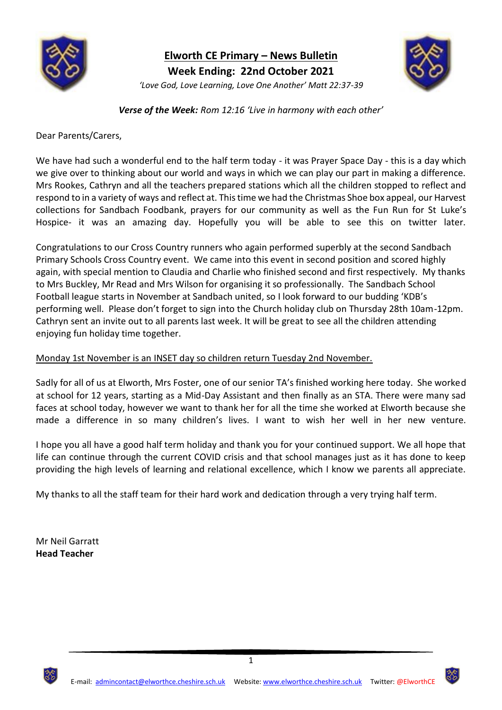

**Elworth CE Primary – News Bulletin Week Ending: 22nd October 2021** *'Love God, Love Learning, Love One Another' Matt 22:37-39*



*Verse of the Week: Rom 12:16 'Live in harmony with each other'*

Dear Parents/Carers,

We have had such a wonderful end to the half term today - it was Prayer Space Day - this is a day which we give over to thinking about our world and ways in which we can play our part in making a difference. Mrs Rookes, Cathryn and all the teachers prepared stations which all the children stopped to reflect and respond to in a variety of ways and reflect at. This time we had the Christmas Shoe box appeal, our Harvest collections for Sandbach Foodbank, prayers for our community as well as the Fun Run for St Luke's Hospice- it was an amazing day. Hopefully you will be able to see this on twitter later.

Congratulations to our Cross Country runners who again performed superbly at the second Sandbach Primary Schools Cross Country event. We came into this event in second position and scored highly again, with special mention to Claudia and Charlie who finished second and first respectively. My thanks to Mrs Buckley, Mr Read and Mrs Wilson for organising it so professionally. The Sandbach School Football league starts in November at Sandbach united, so I look forward to our budding 'KDB's performing well. Please don't forget to sign into the Church holiday club on Thursday 28th 10am-12pm. Cathryn sent an invite out to all parents last week. It will be great to see all the children attending enjoying fun holiday time together.

## Monday 1st November is an INSET day so children return Tuesday 2nd November.

Sadly for all of us at Elworth, Mrs Foster, one of our senior TA's finished working here today. She worked at school for 12 years, starting as a Mid-Day Assistant and then finally as an STA. There were many sad faces at school today, however we want to thank her for all the time she worked at Elworth because she made a difference in so many children's lives. I want to wish her well in her new venture.

I hope you all have a good half term holiday and thank you for your continued support. We all hope that life can continue through the current COVID crisis and that school manages just as it has done to keep providing the high levels of learning and relational excellence, which I know we parents all appreciate.

My thanks to all the staff team for their hard work and dedication through a very trying half term.

Mr Neil Garratt **Head Teacher**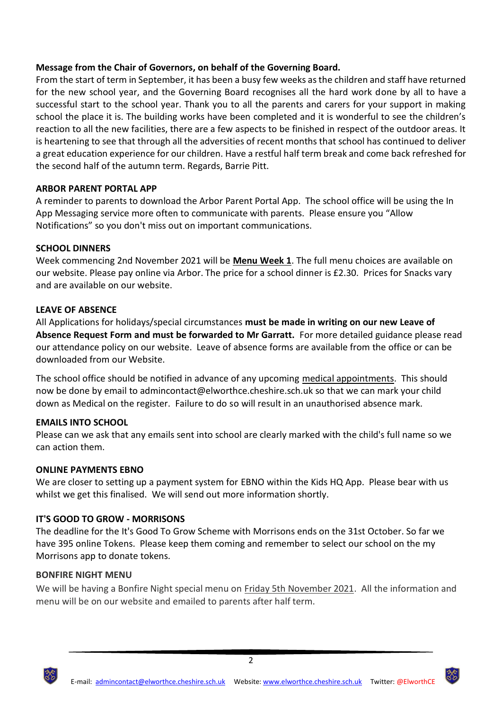## **Message from the Chair of Governors, on behalf of the Governing Board.**

From the start of term in September, it has been a busy few weeks as the children and staff have returned for the new school year, and the Governing Board recognises all the hard work done by all to have a successful start to the school year. Thank you to all the parents and carers for your support in making school the place it is. The building works have been completed and it is wonderful to see the children's reaction to all the new facilities, there are a few aspects to be finished in respect of the outdoor areas. It is heartening to see that through all the adversities of recent months that school has continued to deliver a great education experience for our children. Have a restful half term break and come back refreshed for the second half of the autumn term. Regards, Barrie Pitt.

## **ARBOR PARENT PORTAL APP**

A reminder to parents to download the Arbor Parent Portal App. The school office will be using the In App Messaging service more often to communicate with parents. Please ensure you "Allow Notifications" so you don't miss out on important communications.

#### **SCHOOL DINNERS**

Week commencing 2nd November 2021 will be **Menu Week 1**. The full menu choices are available on our website. Please pay online via Arbor. The price for a school dinner is £2.30. Prices for Snacks vary and are available on our website.

## **LEAVE OF ABSENCE**

All Applications for holidays/special circumstances **must be made in writing on our new Leave of Absence Request Form and must be forwarded to Mr Garratt.** For more detailed guidance please read our attendance policy on our website. Leave of absence forms are available from the office or can be downloaded from our Website.

The school office should be notified in advance of any upcoming medical appointments. This should now be done by email to admincontact@elworthce.cheshire.sch.uk so that we can mark your child down as Medical on the register. Failure to do so will result in an unauthorised absence mark.

#### **EMAILS INTO SCHOOL**

Please can we ask that any emails sent into school are clearly marked with the child's full name so we can action them.

#### **ONLINE PAYMENTS EBNO**

We are closer to setting up a payment system for EBNO within the Kids HQ App. Please bear with us whilst we get this finalised. We will send out more information shortly.

## **IT'S GOOD TO GROW - MORRISONS**

The deadline for the It's Good To Grow Scheme with Morrisons ends on the 31st October. So far we have 395 online Tokens. Please keep them coming and remember to select our school on the my Morrisons app to donate tokens.

#### **BONFIRE NIGHT MENU**

We will be having a Bonfire Night special menu on Friday 5th November 2021. All the information and menu will be on our website and emailed to parents after half term.



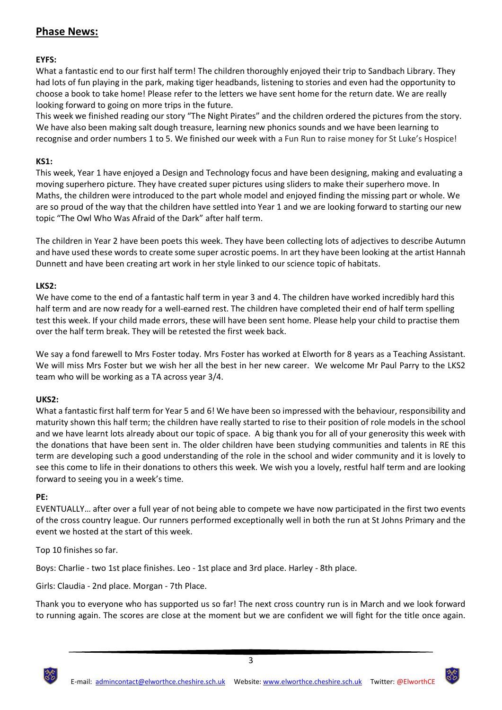# **Phase News:**

## **EYFS:**

What a fantastic end to our first half term! The children thoroughly enjoyed their trip to Sandbach Library. They had lots of fun playing in the park, making tiger headbands, listening to stories and even had the opportunity to choose a book to take home! Please refer to the letters we have sent home for the return date. We are really looking forward to going on more trips in the future.

This week we finished reading our story "The Night Pirates" and the children ordered the pictures from the story. We have also been making salt dough treasure, learning new phonics sounds and we have been learning to recognise and order numbers 1 to 5. We finished our week with a Fun Run to raise money for St Luke's Hospice!

### **KS1:**

This week, Year 1 have enjoyed a Design and Technology focus and have been designing, making and evaluating a moving superhero picture. They have created super pictures using sliders to make their superhero move. In Maths, the children were introduced to the part whole model and enjoyed finding the missing part or whole. We are so proud of the way that the children have settled into Year 1 and we are looking forward to starting our new topic "The Owl Who Was Afraid of the Dark" after half term.

The children in Year 2 have been poets this week. They have been collecting lots of adjectives to describe Autumn and have used these words to create some super acrostic poems. In art they have been looking at the artist Hannah Dunnett and have been creating art work in her style linked to our science topic of habitats.

## **LKS2:**

We have come to the end of a fantastic half term in year 3 and 4. The children have worked incredibly hard this half term and are now ready for a well-earned rest. The children have completed their end of half term spelling test this week. If your child made errors, these will have been sent home. Please help your child to practise them over the half term break. They will be retested the first week back.

We say a fond farewell to Mrs Foster today. Mrs Foster has worked at Elworth for 8 years as a Teaching Assistant. We will miss Mrs Foster but we wish her all the best in her new career. We welcome Mr Paul Parry to the LKS2 team who will be working as a TA across year 3/4.

#### **UKS2:**

What a fantastic first half term for Year 5 and 6! We have been so impressed with the behaviour, responsibility and maturity shown this half term; the children have really started to rise to their position of role models in the school and we have learnt lots already about our topic of space. A big thank you for all of your generosity this week with the donations that have been sent in. The older children have been studying communities and talents in RE this term are developing such a good understanding of the role in the school and wider community and it is lovely to see this come to life in their donations to others this week. We wish you a lovely, restful half term and are looking forward to seeing you in a week's time.

#### **PE:**

EVENTUALLY… after over a full year of not being able to compete we have now participated in the first two events of the cross country league. Our runners performed exceptionally well in both the run at St Johns Primary and the event we hosted at the start of this week.

Top 10 finishes so far.

Boys: Charlie - two 1st place finishes. Leo - 1st place and 3rd place. Harley - 8th place.

Girls: Claudia - 2nd place. Morgan - 7th Place.

Thank you to everyone who has supported us so far! The next cross country run is in March and we look forward to running again. The scores are close at the moment but we are confident we will fight for the title once again.



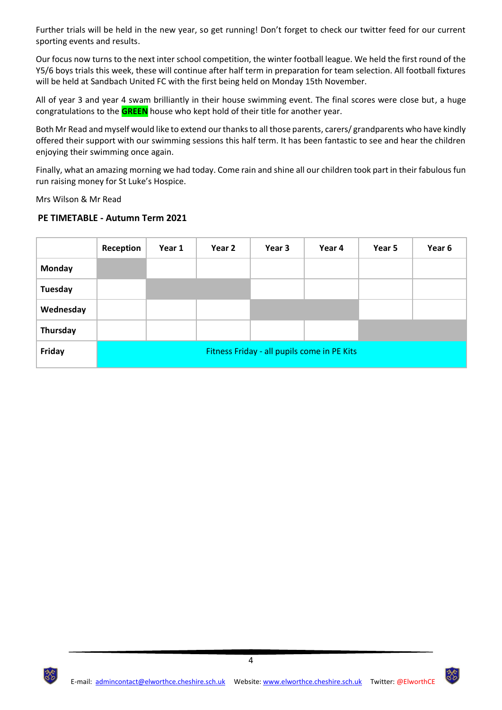Further trials will be held in the new year, so get running! Don't forget to check our twitter feed for our current sporting events and results.

Our focus now turns to the next inter school competition, the winter football league. We held the first round of the Y5/6 boys trials this week, these will continue after half term in preparation for team selection. All football fixtures will be held at Sandbach United FC with the first being held on Monday 15th November.

All of year 3 and year 4 swam brilliantly in their house swimming event. The final scores were close but, a huge congratulations to the **GREEN** house who kept hold of their title for another year.

Both Mr Read and myself would like to extend our thanks to all those parents, carers/ grandparents who have kindly offered their support with our swimming sessions this half term. It has been fantastic to see and hear the children enjoying their swimming once again.

Finally, what an amazing morning we had today. Come rain and shine all our children took part in their fabulous fun run raising money for St Luke's Hospice.

Mrs Wilson & Mr Read

#### **PE TIMETABLE - Autumn Term 2021**

|               | Reception                                   | Year 1 | Year 2 | Year 3 | Year 4 | Year 5 | Year 6 |
|---------------|---------------------------------------------|--------|--------|--------|--------|--------|--------|
| <b>Monday</b> |                                             |        |        |        |        |        |        |
| Tuesday       |                                             |        |        |        |        |        |        |
| Wednesday     |                                             |        |        |        |        |        |        |
| Thursday      |                                             |        |        |        |        |        |        |
| Friday        | Fitness Friday - all pupils come in PE Kits |        |        |        |        |        |        |